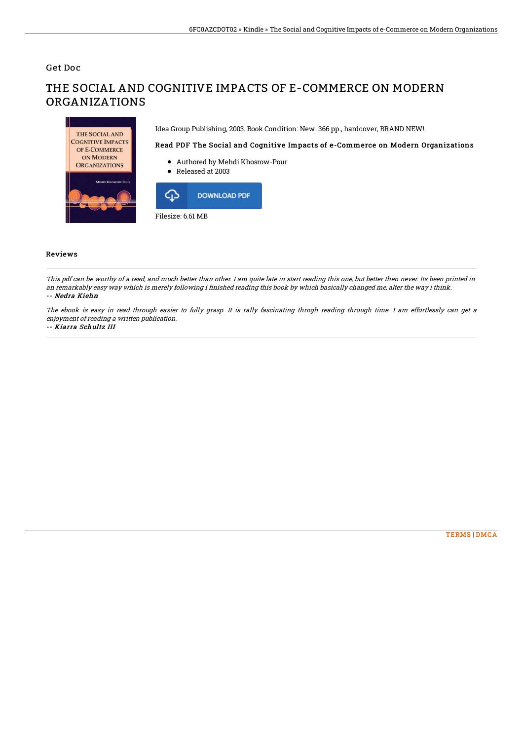## Get Doc

THE SOCIAL AND **COGNITIVE IMPACTS** OF E-COMMERCE ON MODERN **ORGANIZATIONS** 

# THE SOCIAL AND COGNITIVE IMPACTS OF E-COMMERCE ON MODERN ORGANIZATIONS

Idea Group Publishing, 2003. Book Condition: New. 366 pp., hardcover, BRAND NEW!.

### Read PDF The Social and Cognitive Impacts of e-Commerce on Modern Organizations

- Authored by Mehdi Khosrow-Pour
- Released at 2003



#### Reviews

This pdf can be worthy of <sup>a</sup> read, and much better than other. I am quite late in start reading this one, but better then never. Its been printed in an remarkably easy way which is merely following i finished reading this book by which basically changed me, alter the way i think. -- Nedra Kiehn

The ebook is easy in read through easier to fully grasp. It is rally fascinating throgh reading through time. I am effortlessly can get <sup>a</sup> enjoyment of reading <sup>a</sup> written publication.

#### -- Kiarra Schultz III